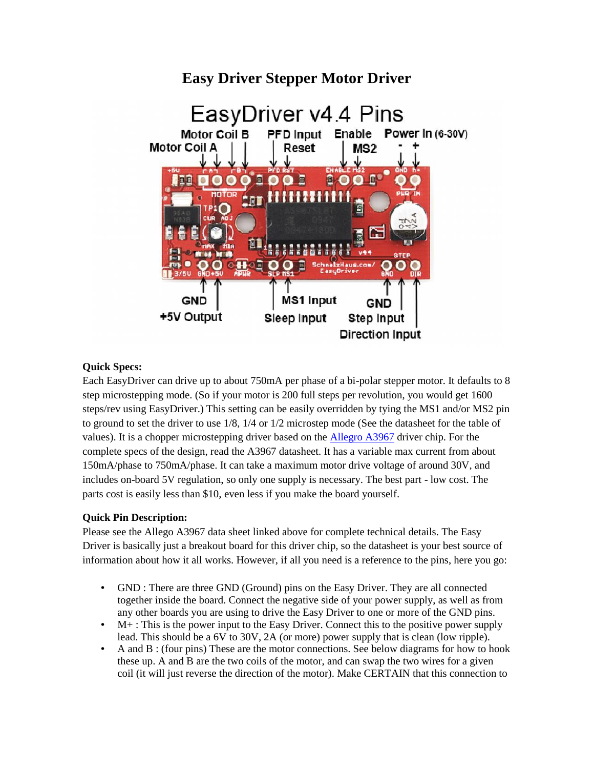### EasyDriver v4.4 Pins PFD Input Enable **Motor Coil B Power In (6-30V) Motor Coil A** Reset MS2 目 100 E  $\bullet$  $\bullet$   $\bullet$ **MS1 Input** GND GND +5V Output Sleep Input Step Input **Direction Input**

# **Easy Driver Stepper Motor Driver**

### **Quick Specs:**

Each EasyDriver can drive up to about 750mA per phase of a bi-polar stepper motor. It defaults to 8 step microstepping mode. (So if your motor is 200 full steps per revolution, you would get 1600 steps/rev using EasyDriver.) This setting can be easily overridden by tying the MS1 and/or MS2 pin to ground to set the driver to use 1/8, 1/4 or 1/2 microstep mode (See the datasheet for the table of values). It is a chopper microstepping driver based on the **Allegro A3967** driver chip. For the complete specs of the design, read the A3967 datasheet. It has a variable max current from about 150mA/phase to 750mA/phase. It can take a maximum motor drive voltage of around 30V, and includes on-board 5V regulation, so only one supply is necessary. The best part - low cost. The parts cost is easily less than \$10, even less if you make the board yourself. step microstepping mode. (So if your motor is 200 full steps per revolution, you would get 1600<br>steps/rev using EasyDriver.) This setting can be easily overridden by tying the MS1 and/or MS2 pin<br>to ground to set the driver using EasyDriver.) This setting can be easily overridden by tying the MS1 and/or MS2 pit to set the driver to use 1/8, 1/4 or 1/2 microstep mode (See the datasheet for the table of is a chopper microstepping driver basical

## **Quick Pin Description:**

Please see the Allego A3967 data sheet linked above for complete technical details. The Easy Driver is basically just a breakout board for this driver chip, so the datasheet is your best source of information about how it all works. However, if all you need is a reference to the pins, here you go:

- GND : There are three GND (Ground) pins on the Easy Driver. They are all connected together inside the board. Connect the negative side of your power supply, as well as from any other boards you are using to drive the Easy Driver to one or more of the GND pins.
- M+ : This is the power input to the Easy Driver. Connect this to the positive power supply lead. This should be a 6V to 30V, 2A (or more) power supply that is clean (low ripple).
- A and B : (four pins) These are the motor connections. See below diagrams for how to hook these up. A and B are the two coils of the motor, and can swap the two wires for a given coil (it will just reverse the direction of the motor). Make CERTAIN that this connection to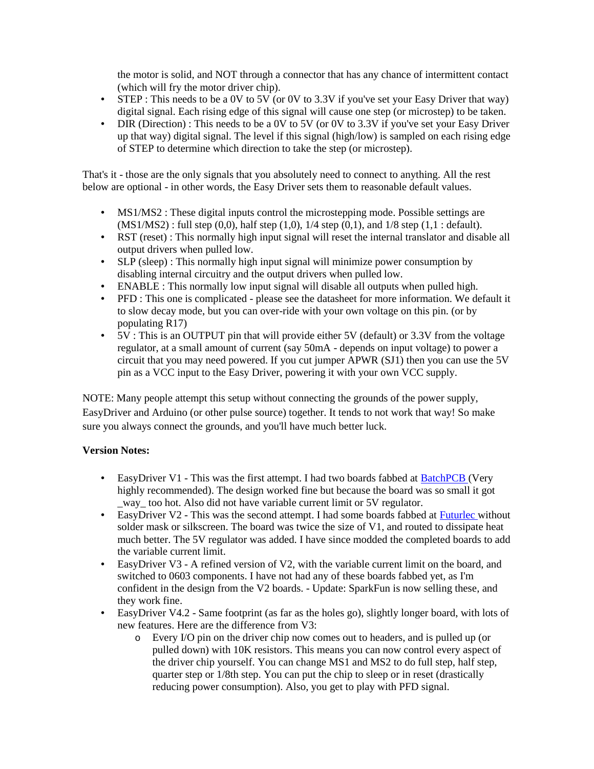the motor is solid, and NOT through a connector that has any chance of intermittent contact (which will fry the motor driver chip).

- STEP : This needs to be a 0V to 5V (or 0V to 3.3V if you've set your Easy Driver that way) digital signal. Each rising edge of this signal will cause one step (or microstep) to be taken.
- DIR (Direction) : This needs to be a 0V to 5V (or 0V to 3.3V if you've set your Easy Driver up that way) digital signal. The level if this signal (high/low) is sampled on each rising edge of STEP to determine which direction to take the step (or microstep).

That's it - those are the only signals that you absolutely need to connect to anything. All the rest below are optional - in other words, the Easy Driver sets them to reasonable default values.

- MS1/MS2 : These digital inputs control the microstepping mode. Possible settings are  $(MS1/MS2)$ : full step  $(0,0)$ , half step  $(1,0)$ ,  $1/4$  step  $(0,1)$ , and  $1/8$  step  $(1,1)$ : default).
- RST (reset) : This normally high input signal will reset the internal translator and disable all output drivers when pulled low.
- SLP (sleep) : This normally high input signal will minimize power consumption by disabling internal circuitry and the output drivers when pulled low.
- ENABLE : This normally low input signal will disable all outputs when pulled high.
- PFD : This one is complicated please see the datasheet for more information. We default it to slow decay mode, but you can over-ride with your own voltage on this pin. (or by populating R17)
- 5V : This is an OUTPUT pin that will provide either 5V (default) or 3.3V from the voltage regulator, at a small amount of current (say 50mA - depends on input voltage) to power a circuit that you may need powered. If you cut jumper APWR (SJ1) then you can use the 5V pin as a VCC input to the Easy Driver, powering it with your own VCC supply.

NOTE: Many people attempt this setup without connecting the grounds of the power supply, EasyDriver and Arduino (or other pulse source) together. It tends to not work that way! So make sure you always connect the grounds, and you'll have much better luck.

### **Version Notes:**

- EasyDriver V1 This was the first attempt. I had two boards fabbed at BatchPCB (Very highly recommended). The design worked fine but because the board was so small it got way too hot. Also did not have variable current limit or 5V regulator.
- EasyDriver V2 This was the second attempt. I had some boards fabbed at Futurlec without solder mask or silkscreen. The board was twice the size of V1, and routed to dissipate heat much better. The 5V regulator was added. I have since modded the completed boards to add the variable current limit.
- EasyDriver V3 A refined version of V2, with the variable current limit on the board, and switched to 0603 components. I have not had any of these boards fabbed yet, as I'm confident in the design from the V2 boards. - Update: SparkFun is now selling these, and they work fine.
- EasyDriver V4.2 Same footprint (as far as the holes go), slightly longer board, with lots of new features. Here are the difference from V3:
	- o Every I/O pin on the driver chip now comes out to headers, and is pulled up (or pulled down) with 10K resistors. This means you can now control every aspect of the driver chip yourself. You can change MS1 and MS2 to do full step, half step, quarter step or 1/8th step. You can put the chip to sleep or in reset (drastically reducing power consumption). Also, you get to play with PFD signal.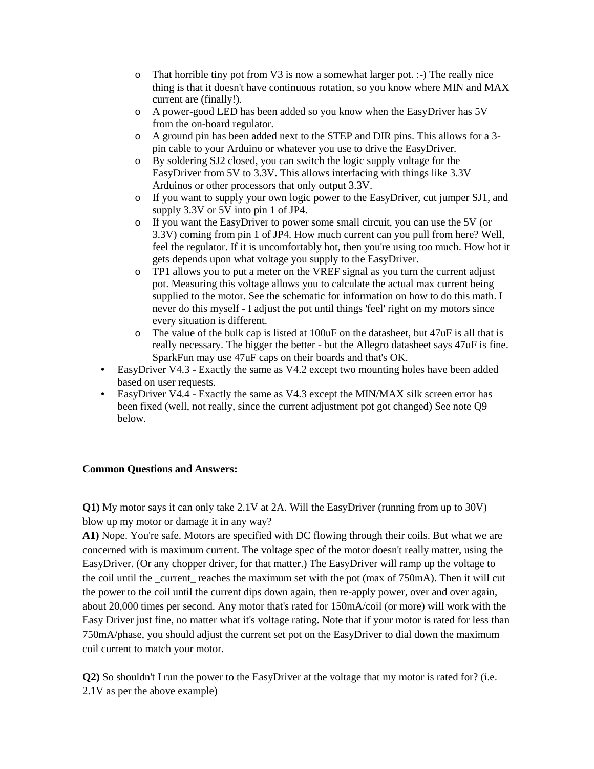- o That horrible tiny pot from V3 is now a somewhat larger pot. :-) The really nice thing is that it doesn't have continuous rotation, so you know where MIN and MAX current are (finally!).
- o A power-good LED has been added so you know when the EasyDriver has 5V from the on-board regulator.
- o A ground pin has been added next to the STEP and DIR pins. This allows for a 3 pin cable to your Arduino or whatever you use to drive the EasyDriver.
- o By soldering SJ2 closed, you can switch the logic supply voltage for the EasyDriver from 5V to 3.3V. This allows interfacing with things like 3.3V Arduinos or other processors that only output 3.3V.
- o If you want to supply your own logic power to the EasyDriver, cut jumper SJ1, and supply 3.3V or 5V into pin 1 of JP4.
- o If you want the EasyDriver to power some small circuit, you can use the 5V (or 3.3V) coming from pin 1 of JP4. How much current can you pull from here? Well, feel the regulator. If it is uncomfortably hot, then you're using too much. How hot it gets depends upon what voltage you supply to the EasyDriver.
- o TP1 allows you to put a meter on the VREF signal as you turn the current adjust pot. Measuring this voltage allows you to calculate the actual max current being supplied to the motor. See the schematic for information on how to do this math. I never do this myself - I adjust the pot until things 'feel' right on my motors since every situation is different.
- $\circ$  The value of the bulk cap is listed at 100 uF on the datasheet, but 47 uF is all that is really necessary. The bigger the better - but the Allegro datasheet says 47uF is fine. SparkFun may use 47uF caps on their boards and that's OK.
- EasyDriver V4.3 Exactly the same as V4.2 except two mounting holes have been added based on user requests.
- EasyDriver V4.4 Exactly the same as V4.3 except the MIN/MAX silk screen error has been fixed (well, not really, since the current adjustment pot got changed) See note Q9 below.

#### **Common Questions and Answers:**

**Q1)** My motor says it can only take 2.1V at 2A. Will the EasyDriver (running from up to 30V) blow up my motor or damage it in any way?

**A1)** Nope. You're safe. Motors are specified with DC flowing through their coils. But what we are concerned with is maximum current. The voltage spec of the motor doesn't really matter, using the EasyDriver. (Or any chopper driver, for that matter.) The EasyDriver will ramp up the voltage to the coil until the \_current\_ reaches the maximum set with the pot (max of 750mA). Then it will cut the power to the coil until the current dips down again, then re-apply power, over and over again, about 20,000 times per second. Any motor that's rated for 150mA/coil (or more) will work with the Easy Driver just fine, no matter what it's voltage rating. Note that if your motor is rated for less than 750mA/phase, you should adjust the current set pot on the EasyDriver to dial down the maximum coil current to match your motor.

**Q2)** So shouldn't I run the power to the EasyDriver at the voltage that my motor is rated for? (i.e. 2.1V as per the above example)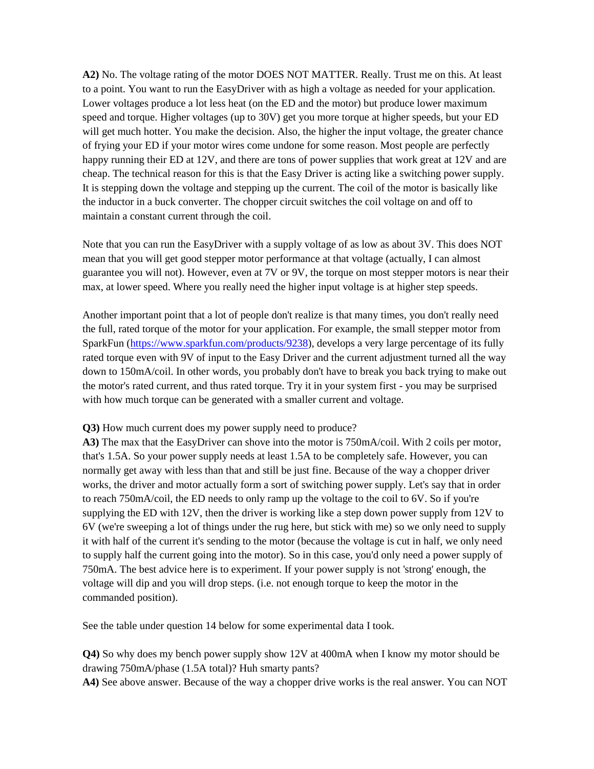**A2)** No. The voltage rating of the motor DOES NOT MATTER. Really. Trust me on this. At least to a point. You want to run the EasyDriver with as high a voltage as needed for your application. Lower voltages produce a lot less heat (on the ED and the motor) but produce lower maximum speed and torque. Higher voltages (up to 30V) get you more torque at higher speeds, but your ED will get much hotter. You make the decision. Also, the higher the input voltage, the greater chance of frying your ED if your motor wires come undone for some reason. Most people are perfectly happy running their ED at 12V, and there are tons of power supplies that work great at 12V and are cheap. The technical reason for this is that the Easy Driver is acting like a switching power supply. It is stepping down the voltage and stepping up the current. The coil of the motor is basically like the inductor in a buck converter. The chopper circuit switches the coil voltage on and off to maintain a constant current through the coil.

Note that you can run the EasyDriver with a supply voltage of as low as about 3V. This does NOT mean that you will get good stepper motor performance at that voltage (actually, I can almost guarantee you will not). However, even at 7V or 9V, the torque on most stepper motors is near their max, at lower speed. Where you really need the higher input voltage is at higher step speeds.

Another important point that a lot of people don't realize is that many times, you don't really need the full, rated torque of the motor for your application. For example, the small stepper motor from SparkFun (https://www.sparkfun.com/products/9238), develops a very large percentage of its fully rated torque even with 9V of input to the Easy Driver and the current adjustment turned all the way down to 150mA/coil. In other words, you probably don't have to break you back trying to make out the motor's rated current, and thus rated torque. Try it in your system first - you may be surprised with how much torque can be generated with a smaller current and voltage.

#### **Q3)** How much current does my power supply need to produce?

**A3)** The max that the EasyDriver can shove into the motor is 750mA/coil. With 2 coils per motor, that's 1.5A. So your power supply needs at least 1.5A to be completely safe. However, you can normally get away with less than that and still be just fine. Because of the way a chopper driver works, the driver and motor actually form a sort of switching power supply. Let's say that in order to reach 750mA/coil, the ED needs to only ramp up the voltage to the coil to 6V. So if you're supplying the ED with 12V, then the driver is working like a step down power supply from 12V to 6V (we're sweeping a lot of things under the rug here, but stick with me) so we only need to supply it with half of the current it's sending to the motor (because the voltage is cut in half, we only need to supply half the current going into the motor). So in this case, you'd only need a power supply of 750mA. The best advice here is to experiment. If your power supply is not 'strong' enough, the voltage will dip and you will drop steps. (i.e. not enough torque to keep the motor in the commanded position).

See the table under question 14 below for some experimental data I took.

**Q4)** So why does my bench power supply show 12V at 400mA when I know my motor should be drawing 750mA/phase (1.5A total)? Huh smarty pants?

**A4)** See above answer. Because of the way a chopper drive works is the real answer. You can NOT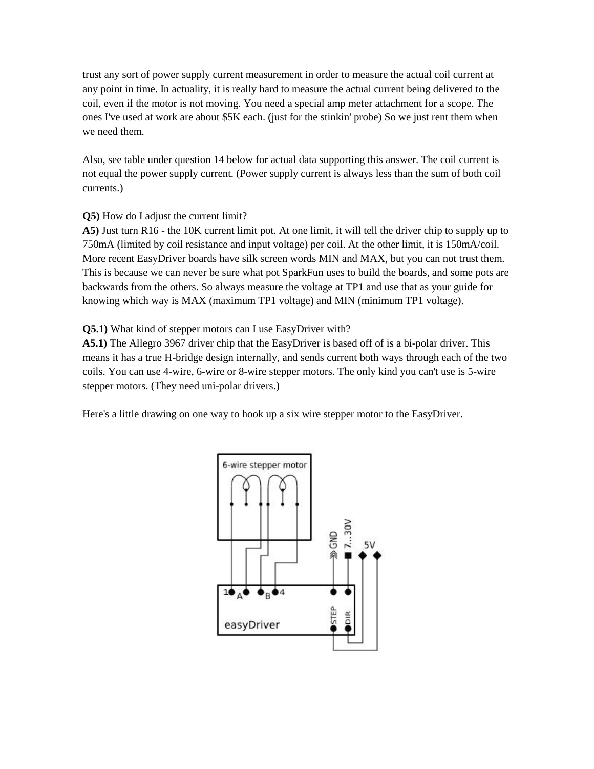trust any sort of power supply current measurement in order to measure the actual coil current at any point in time. In actuality, it is really hard to measure the actual current being delivered to the coil, even if the motor is not moving. You need a special amp meter attachment for a scope. The ones I've used at work are about \$5K each. (just for the stinkin' probe) So we just rent them when we need them.

Also, see table under question 14 below for actual data supporting this answer. The coil current is not equal the power supply current. (Power supply current is always less than the sum of both coil currents.)

### **Q5)** How do I adjust the current limit?

**A5)** Just turn R16 - the 10K current limit pot. At one limit, it will tell the driver chip to supply up to 750mA (limited by coil resistance and input voltage) per coil. At the other limit, it is 150mA/coil. More recent EasyDriver boards have silk screen words MIN and MAX, but you can not trust them. This is because we can never be sure what pot SparkFun uses to build the boards, and some pots are backwards from the others. So always measure the voltage at TP1 and use that as your guide for knowing which way is MAX (maximum TP1 voltage) and MIN (minimum TP1 voltage).

### **Q5.1)** What kind of stepper motors can I use EasyDriver with?

**A5.1)** The Allegro 3967 driver chip that the EasyDriver is based off of is a bi-polar driver. This means it has a true H-bridge design internally, and sends current both ways through each of the two coils. You can use 4-wire, 6-wire or 8-wire stepper motors. The only kind you can't use is 5-wire stepper motors. (They need uni-polar drivers.)

Here's a little drawing on one way to hook up a six wire stepper motor to the EasyDriver.

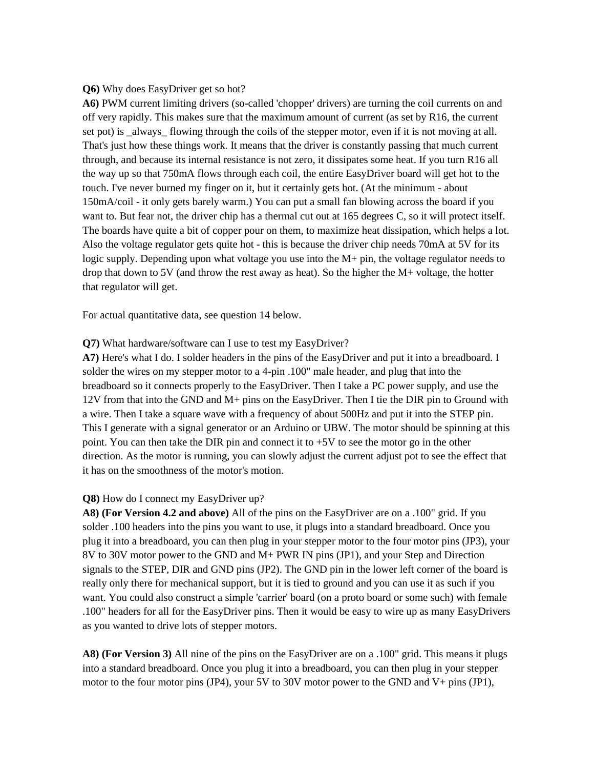#### **Q6)** Why does EasyDriver get so hot?

**A6)** PWM current limiting drivers (so-called 'chopper' drivers) are turning the coil currents on and off very rapidly. This makes sure that the maximum amount of current (as set by R16, the current set pot) is \_always\_ flowing through the coils of the stepper motor, even if it is not moving at all. That's just how these things work. It means that the driver is constantly passing that much current through, and because its internal resistance is not zero, it dissipates some heat. If you turn R16 all the way up so that 750mA flows through each coil, the entire EasyDriver board will get hot to the touch. I've never burned my finger on it, but it certainly gets hot. (At the minimum - about 150mA/coil - it only gets barely warm.) You can put a small fan blowing across the board if you want to. But fear not, the driver chip has a thermal cut out at 165 degrees C, so it will protect itself. The boards have quite a bit of copper pour on them, to maximize heat dissipation, which helps a lot. Also the voltage regulator gets quite hot - this is because the driver chip needs 70mA at 5V for its logic supply. Depending upon what voltage you use into the M+ pin, the voltage regulator needs to drop that down to 5V (and throw the rest away as heat). So the higher the M+ voltage, the hotter that regulator will get.

For actual quantitative data, see question 14 below.

#### **Q7)** What hardware/software can I use to test my EasyDriver?

**A7)** Here's what I do. I solder headers in the pins of the EasyDriver and put it into a breadboard. I solder the wires on my stepper motor to a 4-pin .100" male header, and plug that into the breadboard so it connects properly to the EasyDriver. Then I take a PC power supply, and use the 12V from that into the GND and M+ pins on the EasyDriver. Then I tie the DIR pin to Ground with a wire. Then I take a square wave with a frequency of about 500Hz and put it into the STEP pin. This I generate with a signal generator or an Arduino or UBW. The motor should be spinning at this point. You can then take the DIR pin and connect it to +5V to see the motor go in the other direction. As the motor is running, you can slowly adjust the current adjust pot to see the effect that it has on the smoothness of the motor's motion.

#### **Q8)** How do I connect my EasyDriver up?

**A8) (For Version 4.2 and above)** All of the pins on the EasyDriver are on a .100" grid. If you solder .100 headers into the pins you want to use, it plugs into a standard breadboard. Once you plug it into a breadboard, you can then plug in your stepper motor to the four motor pins (JP3), your 8V to 30V motor power to the GND and M+ PWR IN pins (JP1), and your Step and Direction signals to the STEP, DIR and GND pins (JP2). The GND pin in the lower left corner of the board is really only there for mechanical support, but it is tied to ground and you can use it as such if you want. You could also construct a simple 'carrier' board (on a proto board or some such) with female .100" headers for all for the EasyDriver pins. Then it would be easy to wire up as many EasyDrivers as you wanted to drive lots of stepper motors.

**A8) (For Version 3)** All nine of the pins on the EasyDriver are on a .100" grid. This means it plugs into a standard breadboard. Once you plug it into a breadboard, you can then plug in your stepper motor to the four motor pins (JP4), your 5V to 30V motor power to the GND and V+ pins (JP1),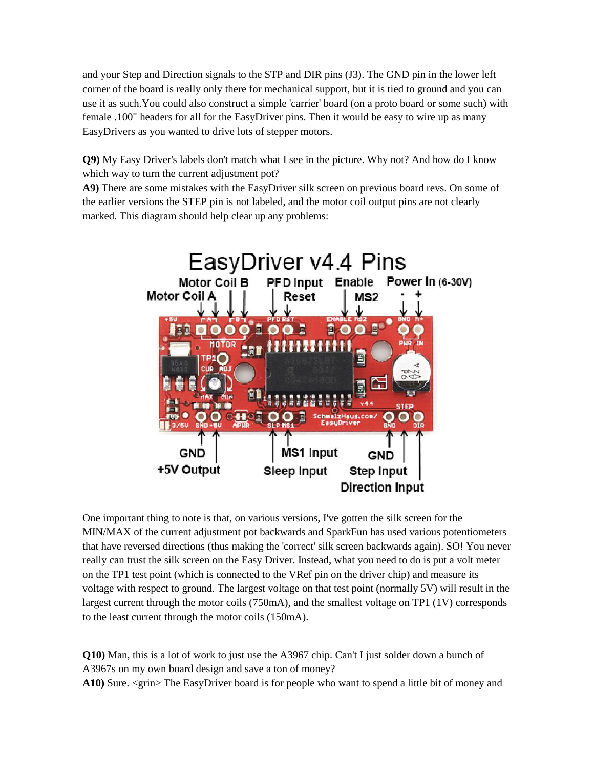and your Step and Direction signals to the STP and DIR pins (J3). The GND pin in the lower left corner of the board is really only there for mechanical support, but it is tied to ground and you can use it as such.You could also construct a simple 'carrier' board (on a proto board or some such) with female .100" headers for all for the EasyDriver pins. Then it would be easy to wire up as many EasyDrivers as you wanted to drive lots of stepper motors.

**Q9)** My Easy Driver's labels don't match what I see in the picture. Why not? And how do I know which way to turn the current adjustment pot?

**A9)** There are some mistakes with the EasyDriver silk screen on previous board revs. On some of the earlier versions the STEP pin is not labeled, and the motor coil output pins are not clearly marked. This diagram should help clear up any problems:



One important thing to note is that, on various versions, I've gotten the silk screen for the MIN/MAX of the current adjustment pot backwards and SparkFun has used various potentiometers that have reversed directions (thus making the 'correct' silk screen backwards again). SO! You never really can trust the silk screen on the Easy Driver. Instead, what you need to do is put a volt meter on the TP1 test point (which is connected to the VRef pin on the driver chip) and measure its voltage with respect to ground. The largest voltage on that test point (normally 5V) will result in the largest current through the motor coils (750mA), and the smallest voltage on TP1 (1V) corresponds to the least current through the motor coils (150mA).

**Q10**) Man, this is a lot of work to just use the A3967 chip. Can't I just solder down a bunch of A3967s on my own board design and save a ton of money? A3967s on my own board design and save a ton of money? A10) Sure. <grin> The EasyDriver board is for people who want to spend a little bit of money and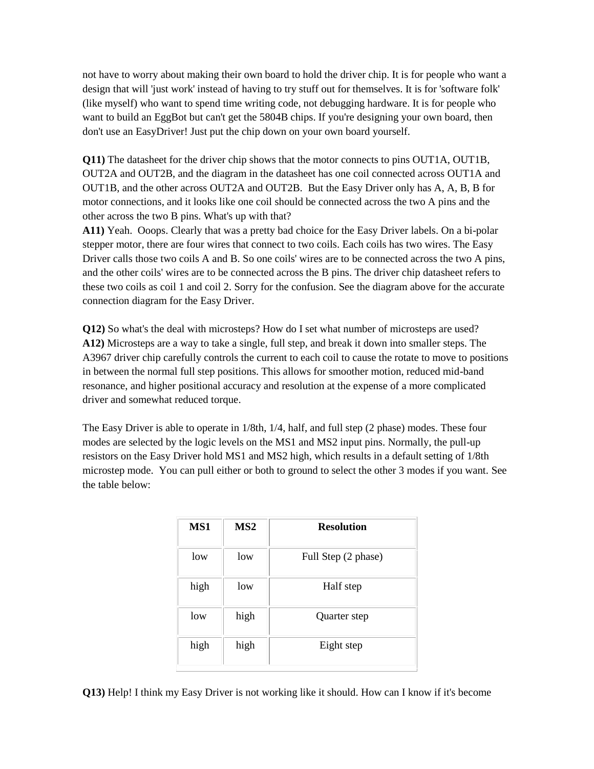not have to worry about making their own board to hold the driver chip. It is for people who want a design that will 'just work' instead of having to try stuff out for themselves. It is for 'software folk' (like myself) who want to spend time writing code, not debugging hardware. It is for people who want to build an EggBot but can't get the 5804B chips. If you're designing your own board, then don't use an EasyDriver! Just put the chip down on your own board yourself.

**Q11)** The datasheet for the driver chip shows that the motor connects to pins OUT1A, OUT1B, OUT2A and OUT2B, and the diagram in the datasheet has one coil connected across OUT1A and OUT1B, and the other across OUT2A and OUT2B. But the Easy Driver only has A, A, B, B for motor connections, and it looks like one coil should be connected across the two A pins and the other across the two B pins. What's up with that?

**A11)** Yeah. Ooops. Clearly that was a pretty bad choice for the Easy Driver labels. On a bi-polar stepper motor, there are four wires that connect to two coils. Each coils has two wires. The Easy Driver calls those two coils A and B. So one coils' wires are to be connected across the two A pins, and the other coils' wires are to be connected across the B pins. The driver chip datasheet refers to these two coils as coil 1 and coil 2. Sorry for the confusion. See the diagram above for the accurate connection diagram for the Easy Driver.

**Q12)** So what's the deal with microsteps? How do I set what number of microsteps are used? **A12)** Microsteps are a way to take a single, full step, and break it down into smaller steps. The A3967 driver chip carefully controls the current to each coil to cause the rotate to move to positions in between the normal full step positions. This allows for smoother motion, reduced mid-band resonance, and higher positional accuracy and resolution at the expense of a more complicated driver and somewhat reduced torque.

The Easy Driver is able to operate in 1/8th, 1/4, half, and full step (2 phase) modes. These four modes are selected by the logic levels on the MS1 and MS2 input pins. Normally, the pull-up resistors on the Easy Driver hold MS1 and MS2 high, which results in a default setting of 1/8th microstep mode. You can pull either or both to ground to select the other 3 modes if you want. See the table below:

| MS1  | MS <sub>2</sub> | <b>Resolution</b>   |
|------|-----------------|---------------------|
| low  | low             | Full Step (2 phase) |
| high | low             | Half step           |
| low  | high            | Quarter step        |
| high | high            | Eight step          |

**Q13)** Help! I think my Easy Driver is not working like it should. How can I know if it's become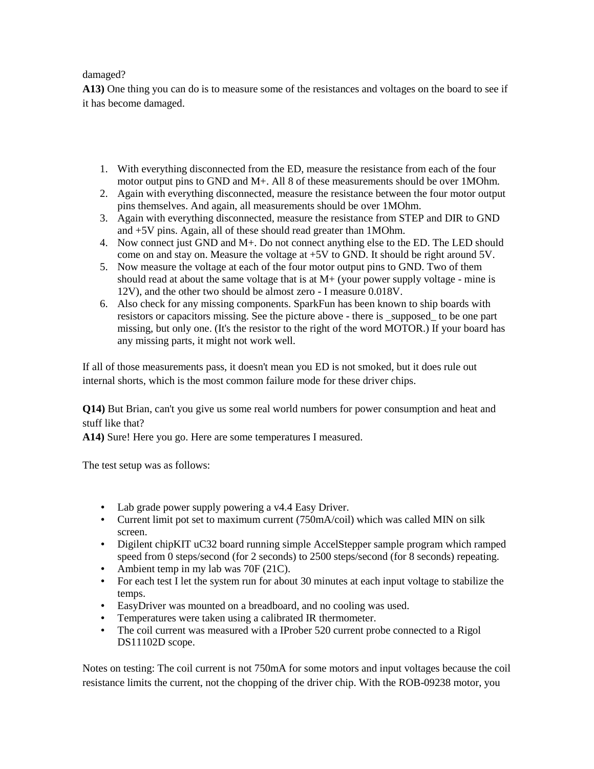#### damaged?

**A13)** One thing you can do is to measure some of the resistances and voltages on the board to see if it has become damaged.

- 1. With everything disconnected from the ED, measure the resistance from each of the four motor output pins to GND and M+. All 8 of these measurements should be over 1MOhm.
- 2. Again with everything disconnected, measure the resistance between the four motor output pins themselves. And again, all measurements should be over 1MOhm.
- 3. Again with everything disconnected, measure the resistance from STEP and DIR to GND and +5V pins. Again, all of these should read greater than 1MOhm.
- 4. Now connect just GND and M+. Do not connect anything else to the ED. The LED should come on and stay on. Measure the voltage at +5V to GND. It should be right around 5V.
- 5. Now measure the voltage at each of the four motor output pins to GND. Two of them should read at about the same voltage that is at  $M+$  (your power supply voltage - mine is 12V), and the other two should be almost zero - I measure 0.018V.
- 6. Also check for any missing components. SparkFun has been known to ship boards with resistors or capacitors missing. See the picture above - there is \_supposed\_ to be one part missing, but only one. (It's the resistor to the right of the word MOTOR.) If your board has any missing parts, it might not work well.

If all of those measurements pass, it doesn't mean you ED is not smoked, but it does rule out internal shorts, which is the most common failure mode for these driver chips.

**Q14)** But Brian, can't you give us some real world numbers for power consumption and heat and stuff like that?

**A14)** Sure! Here you go. Here are some temperatures I measured.

The test setup was as follows:

- Lab grade power supply powering a v4.4 Easy Driver.
- Current limit pot set to maximum current (750mA/coil) which was called MIN on silk screen.
- Digilent chipKIT uC32 board running simple AccelStepper sample program which ramped speed from 0 steps/second (for 2 seconds) to 2500 steps/second (for 8 seconds) repeating.
- Ambient temp in my lab was 70F (21C).
- For each test I let the system run for about 30 minutes at each input voltage to stabilize the temps.
- EasyDriver was mounted on a breadboard, and no cooling was used.
- Temperatures were taken using a calibrated IR thermometer.
- The coil current was measured with a IProber 520 current probe connected to a Rigol DS11102D scope.

Notes on testing: The coil current is not 750mA for some motors and input voltages because the coil resistance limits the current, not the chopping of the driver chip. With the ROB-09238 motor, you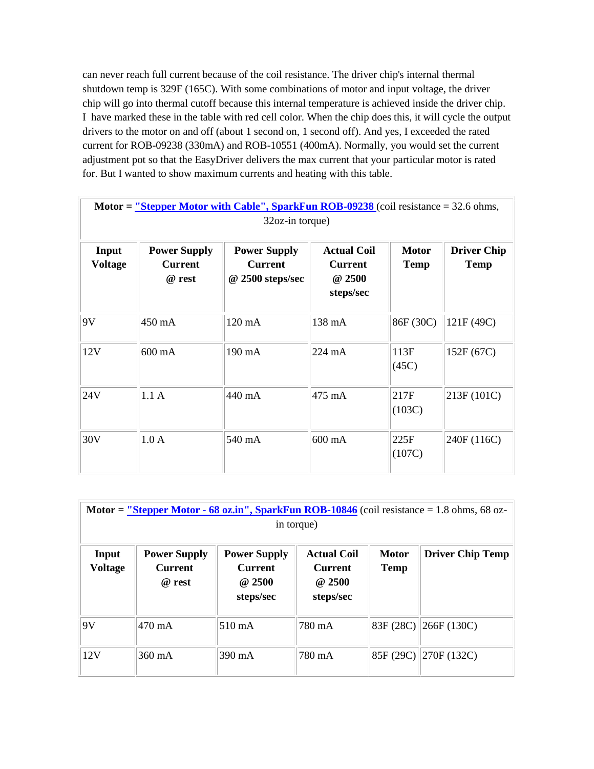can never reach full current because of the coil resistance. The driver chip's internal thermal shutdown temp is 329F (165C). With some combinations of motor and input voltage, the driver chip will go into thermal cutoff because this internal temperature is achieved inside the driver chip. I have marked these in the table with red cell color. When the chip does this, it will cycle the output drivers to the motor on and off (about 1 second on, 1 second off). And yes, I exceeded the rated current for ROB-09238 (330mA) and ROB-10551 (400mA). Normally, you would set the current adjustment pot so that the EasyDriver delivers the max current that your particular motor is rated for. But I wanted to show maximum currents and heating with this table.

|                         |                                                 | $32oz-in$ torque)                                         |                                                             |                             |                                   |
|-------------------------|-------------------------------------------------|-----------------------------------------------------------|-------------------------------------------------------------|-----------------------------|-----------------------------------|
| Input<br><b>Voltage</b> | <b>Power Supply</b><br><b>Current</b><br>@ rest | <b>Power Supply</b><br><b>Current</b><br>@ 2500 steps/sec | <b>Actual Coil</b><br><b>Current</b><br>@ 2500<br>steps/sec | <b>Motor</b><br><b>Temp</b> | <b>Driver Chip</b><br><b>Temp</b> |
| 9V                      | 450 mA                                          | 120 mA                                                    | 138 mA                                                      | 86F (30C)                   | 121F (49C)                        |
| 12V                     | 600 mA                                          | 190 mA                                                    | 224 mA                                                      | 113F<br>(45C)               | 152F (67C)                        |
| 24V                     | 1.1A                                            | 440 mA                                                    | 475 mA                                                      | 217F<br>(103C)              | 213F (101C)                       |
| 30V                     | 1.0A                                            | 540 mA                                                    | 600 mA                                                      | 225F<br>(107C)              | 240F (116C)                       |

|                         |                                                 |                                                              | in torque)                                                  |                      | Motor = $\frac{\text{v}}{\text{Stepper Motor}}$ - 68 oz.in", SparkFun ROB-10846 (coil resistance = 1.8 ohms, 68 oz- |
|-------------------------|-------------------------------------------------|--------------------------------------------------------------|-------------------------------------------------------------|----------------------|---------------------------------------------------------------------------------------------------------------------|
| Input<br><b>Voltage</b> | <b>Power Supply</b><br><b>Current</b><br>@ rest | <b>Power Supply</b><br><b>Current</b><br>@ 2500<br>steps/sec | <b>Actual Coil</b><br><b>Current</b><br>@ 2500<br>steps/sec | <b>Motor</b><br>Temp | <b>Driver Chip Temp</b>                                                                                             |
| 9V                      | $470 \text{ mA}$                                | 510 mA                                                       | 780 mA                                                      |                      | 83F (28C) 266F (130C)                                                                                               |
| 12V                     | $360 \text{ mA}$                                | 390 mA                                                       | 780 mA                                                      | 85F (29C)            | $\parallel$ 270F (132C)                                                                                             |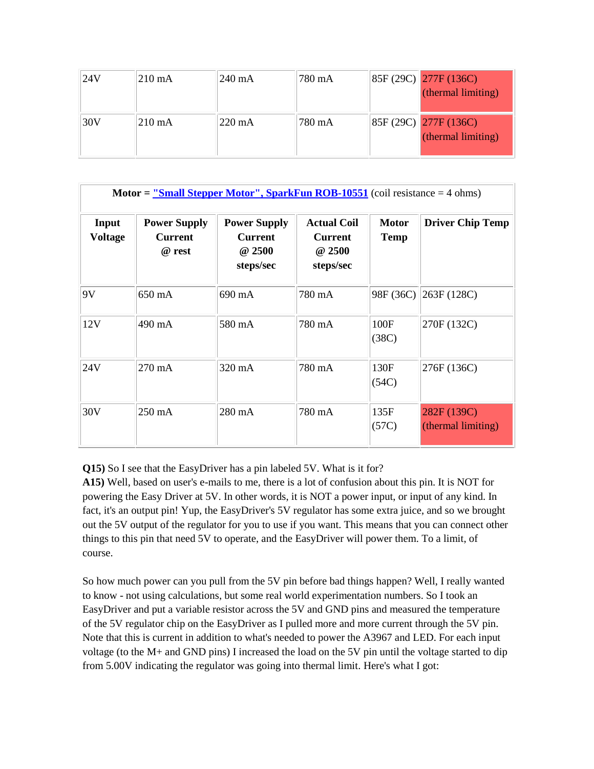| 124V | $210 \text{ mA}$ | $240 \text{ mA}$ | 780 mA | 85F (29C) 277F (136C)<br>(thermal limiting) |
|------|------------------|------------------|--------|---------------------------------------------|
| 30V  | $210 \text{ mA}$ | $220 \text{ mA}$ | 780 mA | 85F (29C) 277F (136C)<br>(thermal limiting) |

| <b>Motor = <math>\frac{\text{vSmall Stephen Motor}}{\text{Soft}}</math>, SparkFun ROB-10551</b> (coil resistance = 4 ohms) |                                                 |                                                              |                                                             |                             |                                   |
|----------------------------------------------------------------------------------------------------------------------------|-------------------------------------------------|--------------------------------------------------------------|-------------------------------------------------------------|-----------------------------|-----------------------------------|
| Input<br><b>Voltage</b>                                                                                                    | <b>Power Supply</b><br><b>Current</b><br>@ rest | <b>Power Supply</b><br><b>Current</b><br>@ 2500<br>steps/sec | <b>Actual Coil</b><br><b>Current</b><br>@ 2500<br>steps/sec | <b>Motor</b><br><b>Temp</b> | <b>Driver Chip Temp</b>           |
| 9V                                                                                                                         | 650 mA                                          | 690 mA                                                       | 780 mA                                                      |                             | 98F (36C) 263F (128C)             |
| 12V                                                                                                                        | 490 mA                                          | 580 mA                                                       | 780 mA                                                      | 100F<br>(38C)               | 270F (132C)                       |
| 24V                                                                                                                        | $270 \text{ mA}$                                | $320 \text{ mA}$                                             | 780 mA                                                      | 130F<br>(54C)               | 276F (136C)                       |
| 30V                                                                                                                        | 250 mA                                          | 280 mA                                                       | 780 mA                                                      | 135F<br>(57C)               | 282F (139C)<br>(thermal limiting) |

**Q15)** So I see that the EasyDriver has a pin labeled 5V. What is it for?

**A15)** Well, based on user's e-mails to me, there is a lot of confusion about this pin. It is NOT for powering the Easy Driver at 5V. In other words, it is NOT a power input, or input of any kind. In fact, it's an output pin! Yup, the EasyDriver's 5V regulator has some extra juice, and so we brought out the 5V output of the regulator for you to use if you want. This means that you can connect other things to this pin that need 5V to operate, and the EasyDriver will power them. To a limit, of course.

So how much power can you pull from the 5V pin before bad things happen? Well, I really wanted to know - not using calculations, but some real world experimentation numbers. So I took an EasyDriver and put a variable resistor across the 5V and GND pins and measured the temperature of the 5V regulator chip on the EasyDriver as I pulled more and more current through the 5V pin. Note that this is current in addition to what's needed to power the A3967 and LED. For each input voltage (to the M+ and GND pins) I increased the load on the 5V pin until the voltage started to dip from 5.00V indicating the regulator was going into thermal limit. Here's what I got: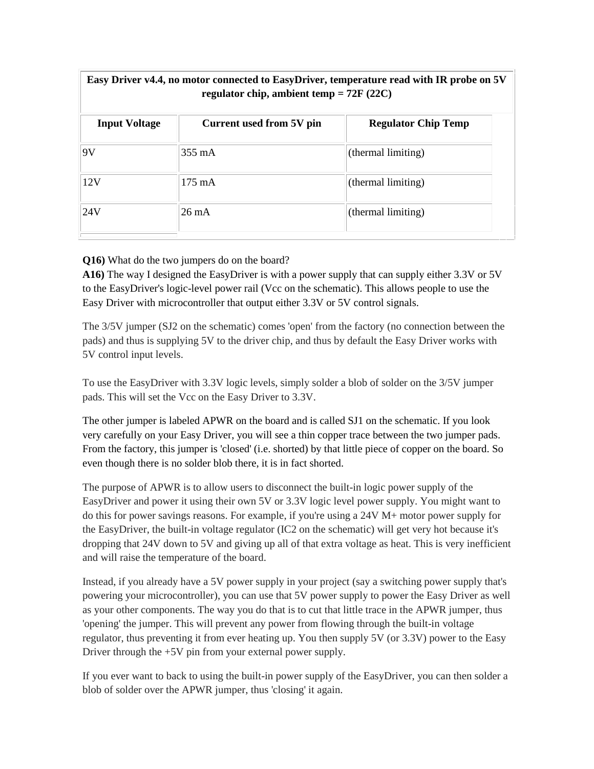| Easy Driver v4.4, no motor connected to EasyDriver, temperature read with IR probe on 5V<br>regulator chip, ambient temp = $72F (22C)$ |                            |  |  |  |
|----------------------------------------------------------------------------------------------------------------------------------------|----------------------------|--|--|--|
| Current used from 5V pin                                                                                                               | <b>Regulator Chip Temp</b> |  |  |  |
| $355 \text{ mA}$                                                                                                                       | (thermal limiting)         |  |  |  |
| $175 \text{ mA}$                                                                                                                       | (thermal limiting)         |  |  |  |
| $26 \text{ mA}$                                                                                                                        | (thermal limiting)         |  |  |  |
|                                                                                                                                        |                            |  |  |  |

### **Q16)** What do the two jumpers do on the board?

**A16)** The way I designed the EasyDriver is with a power supply that can supply either 3.3V or 5V to the EasyDriver's logic-level power rail (Vcc on the schematic). This allows people to use the Easy Driver with microcontroller that output either 3.3V or 5V control signals.

The 3/5V jumper (SJ2 on the schematic) comes 'open' from the factory (no connection between the pads) and thus is supplying 5V to the driver chip, and thus by default the Easy Driver works with 5V control input levels.

To use the EasyDriver with 3.3V logic levels, simply solder a blob of solder on the 3/5V jumper pads. This will set the Vcc on the Easy Driver to 3.3V.

The other jumper is labeled APWR on the board and is called SJ1 on the schematic. If you look very carefully on your Easy Driver, you will see a thin copper trace between the two jumper pads. From the factory, this jumper is 'closed' (i.e. shorted) by that little piece of copper on the board. So even though there is no solder blob there, it is in fact shorted.

The purpose of APWR is to allow users to disconnect the built-in logic power supply of the EasyDriver and power it using their own 5V or 3.3V logic level power supply. You might want to do this for power savings reasons. For example, if you're using a 24V M+ motor power supply for the EasyDriver, the built-in voltage regulator (IC2 on the schematic) will get very hot because it's dropping that 24V down to 5V and giving up all of that extra voltage as heat. This is very inefficient and will raise the temperature of the board.

Instead, if you already have a 5V power supply in your project (say a switching power supply that's powering your microcontroller), you can use that 5V power supply to power the Easy Driver as well as your other components. The way you do that is to cut that little trace in the APWR jumper, thus 'opening' the jumper. This will prevent any power from flowing through the built-in voltage regulator, thus preventing it from ever heating up. You then supply 5V (or 3.3V) power to the Easy Driver through the +5V pin from your external power supply.

If you ever want to back to using the built-in power supply of the EasyDriver, you can then solder a blob of solder over the APWR jumper, thus 'closing' it again.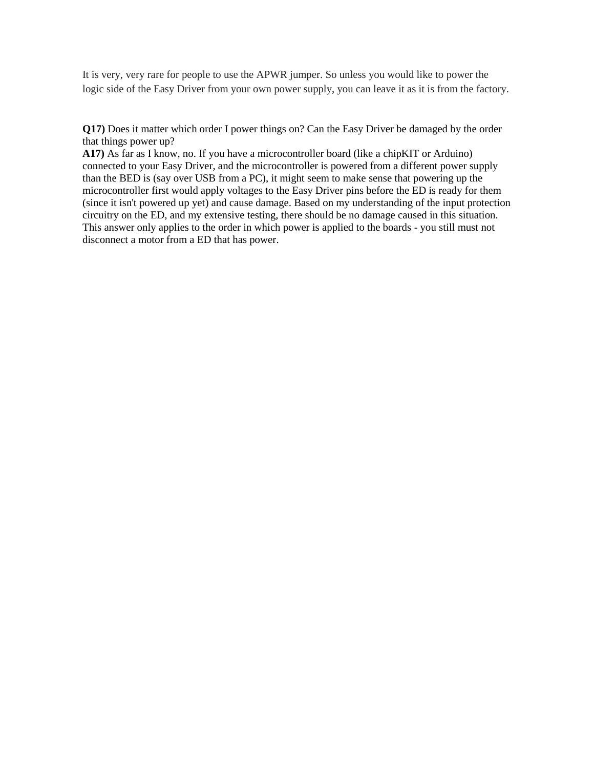It is very, very rare for people to use the APWR jumper. So unless you would like to power the logic side of the Easy Driver from your own power supply, you can leave it as it is from the factory.

**Q17)** Does it matter which order I power things on? Can the Easy Driver be damaged by the order that things power up?

**A17)** As far as I know, no. If you have a microcontroller board (like a chipKIT or Arduino) connected to your Easy Driver, and the microcontroller is powered from a different power supply than the BED is (say over USB from a PC), it might seem to make sense that powering up the microcontroller first would apply voltages to the Easy Driver pins before the ED is ready for them (since it isn't powered up yet) and cause damage. Based on my understanding of the input protection circuitry on the ED, and my extensive testing, there should be no damage caused in this situation. This answer only applies to the order in which power is applied to the boards - you still must not disconnect a motor from a ED that has power.